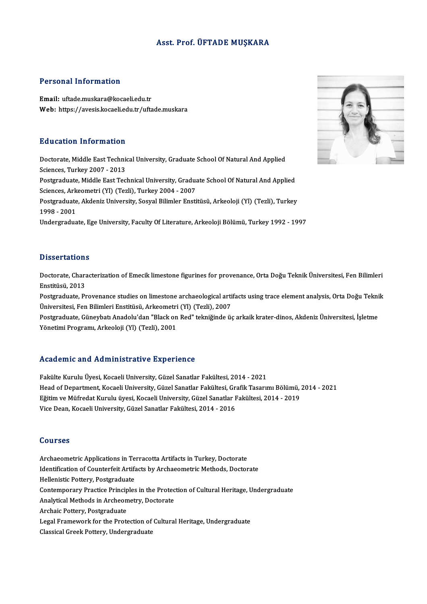#### Asst. Prof. ÜFTADE MUŞKARA

#### Personal Information

Email: uftade.muskara@kocaeli.edu.tr Web: https://avesis.kocaeli.edu.tr/uftade.muskara

#### Education Information

Education Information<br>Doctorate, Middle East Technical University, Graduate School Of Natural And Applied<br>Sciences Turkey 2007–2012 But deather Thromation<br>Doctorate, Middle East Technic<br>Sciences, Turkey 2007 - 2013<br>Bestavaduate, Middle East Tec Doctorate, Middle East Technical University, Graduate School Of Natural And Applied<br>Sciences, Turkey 2007 - 2013<br>Postgraduate, Middle East Technical University, Graduate School Of Natural And Applied<br>Sciences, Arkeometri ( Sciences, Turkey 2007 - 2013<br>Postgraduate, Middle East Technical University, Gradua<br>Sciences, Arkeometri (Yl) (Tezli), Turkey 2004 - 2007<br>Postgraduate, Altdania University, Sosual Bilimler Ensti Postgraduate, Akdeniz University, Sosyal Bilimler Enstitüsü, Arkeoloji (Yl) (Tezli), Turkey<br>1998 - 2001 Sciences, Arkeometri (Yl) (Tezli), Turkey 2004 - 2007 Undergraduate, Ege University, Faculty Of Literature, Arkeoloji Bölümü, Turkey 1992 - 1997

#### **Dissertations**

Dissertations<br>Doctorate, Characterization of Emecik limestone figurines for provenance, Orta Doğu Teknik Üniversitesi, Fen Bilimleri<br>Enstitüsü, 2012 Bisser dation.<br>Doctorate, Chara<br>Enstitüsü, 2013<br>Postareduste, Pr Doctorate, Characterization of Emecik limestone figurines for provenance, Orta Doğu Teknik Üniversitesi, Fen Bilimleri<br>Enstitüsü, 2013<br>Postgraduate, Provenance studies on limestone archaeological artifacts using trace elem

Enstitüsü, 2013<br>Postgraduate, Provenance studies on limestone archaeological arti<br>Üniversitesi, Fen Bilimleri Enstitüsü, Arkeometri (Yl) (Tezli), 2007<br>Postgraduate, Cüneybatı Anadelu'dan "Plack en Bod" telmiğinde ü Postgraduate, Provenance studies on limestone archaeological artifacts using trace element analysis, Orta Doğu Tekni<br>Üniversitesi, Fen Bilimleri Enstitüsü, Arkeometri (Yl) (Tezli), 2007<br>Postgraduate, Güneybatı Anadolu'dan

Üniversitesi, Fen Bilimleri Enstitüsü, Arkeometri<br>Postgraduate, Güneybatı Anadolu'dan "Black on<br>Yönetimi Programı, Arkeoloji (Yl) (Tezli), 2001

## Yönetimi Programı, Arkeoloji (Yl) (Tezli), 2001<br>Academic and Administrative Experience

Fakülte Kurulu Üyesi, Kocaeli University, Güzel Sanatlar Fakültesi, 2014 - 2021 Head office and Hammiest atry's Emportence<br>Fakülte Kurulu Üyesi, Kocaeli University, Güzel Sanatlar Fakültesi, 2014 - 2021<br>Head of Department, Kocaeli University, Güzel Sanatlar Fakültesi, Grafik Tasarımı Bölümü, 2014 - 20 Fakülte Kurulu Üyesi, Kocaeli University, Güzel Sanatlar Fakültesi, 2014 - 2021<br>Head of Department, Kocaeli University, Güzel Sanatlar Fakültesi, Grafik Tasarımı Bölümü,<br>Eğitim ve Müfredat Kurulu üyesi, Kocaeli University, Head of Department, Kocaeli University, Güzel Sanatlar Fakültesi, Gr.<br>Eğitim ve Müfredat Kurulu üyesi, Kocaeli University, Güzel Sanatlar F<br>Vice Dean, Kocaeli University, Güzel Sanatlar Fakültesi, 2014 - 2016 Vice Dean, Kocaeli University, Güzel Sanatlar Fakültesi, 2014 - 2016<br>Courses

Courses<br>Archaeometric Applications in Terracotta Artifacts in Turkey, Doctorate<br>Identification of Counterfeit Artifacts by Archaeometric Methods, Doctor Jourbos<br>Archaeometric Applications in Terracotta Artifacts in Turkey, Doctorate<br>Identification of Counterfeit Artifacts by Archaeometric Methods, Doctorate<br>Hellenistic Pettery, Pestereduate Archaeometric Applications in Te<br>Identification of Counterfeit Artifa<br>Hellenistic Pottery, Postgraduate<br>Contemporary Practice Principles Identification of Counterfeit Artifacts by Archaeometric Methods, Doctorate<br>Hellenistic Pottery, Postgraduate<br>Contemporary Practice Principles in the Protection of Cultural Heritage, Undergraduate<br>Analytical Methods in Arc Hellenistic Pottery, Postgraduate<br>Contemporary Practice Principles in the Protec<br>Analytical Methods in Archeometry, Doctorate<br>Archais Pottery, Postgraduate Contemporary Practice Princip<br>Analytical Methods in Archeon<br>Archaic Pottery, Postgraduate<br>Logal Eramawork for the Prote Analytical Methods in Archeometry, Doctorate<br>Archaic Pottery, Postgraduate<br>Legal Framework for the Protection of Cultural Heritage, Undergraduate<br>Classical Creek Pottery, Undergraduate Archaic Pottery, Postgraduate<br>Legal Framework for the Protection of (<br>Classical Greek Pottery, Undergraduate

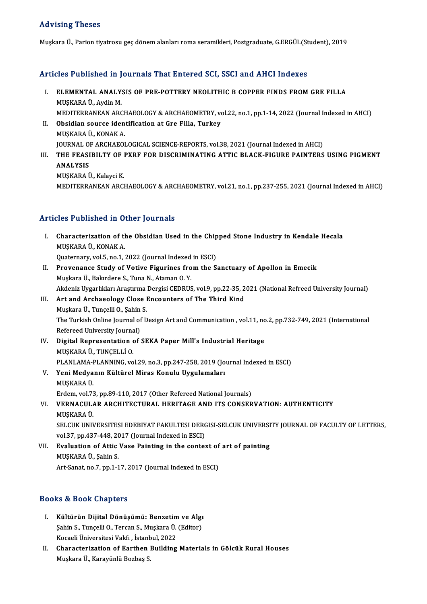### Advising Theses

MuşkaraÜ.,Pariontiyatrosu geçdönemalanları roma seramikleri,Postgraduate,G.ERGÜL(Student),2019

# Muşkara 0., Parlon uyatrosu geç dönem alanları roma seramikleri, Postgraduate, G.EKGOL(St<br>Articles Published in Journals That Entered SCI, SSCI and AHCI Indexes

- rticles Published in Journals That Entered SCI, SSCI and AHCI Indexes<br>I. ELEMENTAL ANALYSIS OF PRE-POTTERY NEOLITHIC B COPPER FINDS FROM GRE FILLA I. ELEMENTAL ANALYSIS OF PRE-POTTERY NEOLITHIC B COPPER FINDS FROM GRE FILLA<br>MUŞKARA Ü., Aydin M. ELEMENTAL ANALYSIS OF PRE-POTTERY NEOLITHIC B COPPER FINDS FROM GRE FILLA<br>MUŞKARA Ü., Aydin M.<br>MEDITERRANEAN ARCHAEOLOGY & ARCHAEOMETRY, vol.22, no.1, pp.1-14, 2022 (Journal Indexed in AHCI)<br>Obsidian sourse identification MUŞKARA Ü., Aydin M.<br>MEDITERRANEAN ARCHAEOLOGY & ARCHAEOMETRY, vo<br>II. Obsidian source identification at Gre Filla, Turkey<br>MISKARA Ü. KONAK A
- MEDITERRANEAN ARCH<br>Obsidian source iden<br>MUŞKARA Ü., KONAK A.<br>JOUPNAL OF ARCHAEQI Obsidian source identification at Gre Filla, Turkey<br>MUŞKARA Ü., KONAK A.<br>JOURNAL OF ARCHAEOLOGICAL SCIENCE-REPORTS, vol.38, 2021 (Journal Indexed in AHCI)<br>THE ERASIBU TV OF BYBE FOB DISCRIMINATING ATTIC BLACK FICURE BAINTE MUŞKARA Ü., KONAK A.<br>JOURNAL OF ARCHAEOLOGICAL SCIENCE-REPORTS, vol.38, 2021 (Journal Indexed in AHCI)<br>III. THE FEASIBILTY OF PXRF FOR DISCRIMINATING ATTIC BLACK-FIGURE PAINTERS USING PIGMENT<br>ANALYSIS
- **JOURNAL OF<br>THE FEASI<br>ANALYSIS<br>MUSKARA I**

MUŞKARA Ü., Kalayci K. MEDITERRANEANARCHAEOLOGY&ARCHAEOMETRY,vol.21,no.1,pp.237-255,2021 (Journal Indexed inAHCI)

### Articles Published in Other Journals

rticles Published in Other Journals<br>I. Characterization of the Obsidian Used in the Chipped Stone Industry in Kendale Hecala<br>MUSKARA (L. KONAK A MUŞKARAÜ.,KONAKA. Characterization of the Obsidian Used in the Chip<br>MUŞKARA Ü., KONAK A.<br>Quaternary, vol.5, no.1, 2022 (Journal Indexed in ESCI)<br>Provenance Study of Votive Figurines from the S. II. Provenance Study of Votive Figurines from the Sanctuary of Apollon in Emecik<br>Muskara Ü., Bakırdere S., Tuna N., Ataman O. Y. Quaternary, vol.5, no.1, 2022 (Journal Indexed in ESCI) Akdeniz Uygarlıkları Araştırma Dergisi CEDRUS, vol.9, pp.22-35, 2021 (National Refreed University Journal) Muşkara Ü., Bakırdere S., Tuna N., Ataman O. Y.<br>Akdeniz Uygarlıkları Araştırma Dergisi CEDRUS, vol.9, pp.22-35, 2<br>III. Art and Archaeology Close Encounters of The Third Kind<br>Muslians Ü. Tungelli O. Sabin S. Akdeniz Uygarlıkları Araştırma<br>Art and Archaeology Close I<br>Muşkara Ü., Tunçelli O., Şahin S.<br>The Turkish Online Journal of D Art and Archaeology Close Encounters of The Third Kind<br>Muşkara Ü., Tunçelli O., Şahin S.<br>The Turkish Online Journal of Design Art and Communication , vol.11, no.2, pp.732-749, 2021 (International<br>Refereed University Journa

Muşkara Ü., Tunçelli O., Şahin<br>The Turkish Online Journal of<br>Refereed University Journal)<br>Digital Penrosentation of The Turkish Online Journal of Design Art and Communication , vol.11, no<br>Refereed University Journal)<br>IV. Digital Representation of SEKA Paper Mill's Industrial Heritage<br>MIISEARA (I TINCELLIO

- Refereed University Journa<br>Digital Representation<br>MUŞKARA Ü., TUNÇELLİ O.<br>PLANLAMA PLANNINC. YO MUŞKARA Ü., TUNÇELLİ O.<br>PLANLAMA-PLANNING, vol.29, no.3, pp.247-258, 2019 (Journal Indexed in ESCI) MUŞKARA Ü., TUNÇELLİ O.<br>PLANLAMA-PLANNING, vol.29, no.3, pp.247-258, 2019 (Jo<br>V. Yeni Medyanın Kültürel Miras Konulu Uygulamaları<br>MUSKARA Ü
- PLANLAMA-I<br>Yeni Medya<br>MUŞKARA Ü.<br>Erdem vel 73 MUŞKARA Ü.<br>Erdem, vol.73, pp.89-110, 2017 (Other Refereed National Journals)

### MUŞKARA Ü.<br>Erdem, vol.73, pp.89-110, 2017 (Other Refereed National Journals)<br>VI. VERNACULAR ARCHITECTURAL HERITAGE AND ITS CONSERVATION: AUTHENTICITY<br>MUSKARA Ü Erdem, vol.73<br>**VERNACUL/<br>MUŞKARA Ü.**<br>SELCUK UNI VERNACULAR ARCHITECTURAL HERITAGE AND ITS CONSERVATION: AUTHENTICITY<br>MUŞKARA Ü.<br>SELCUK UNIVERSITESI EDEBIYAT FAKULTESI DERGISI-SELCUK UNIVERSITY JOURNAL OF FACULTY OF LETTERS,<br>vol 37. pp.427.448.2017 (Journal Indoved in ES

MUŞKARA Ü.<br>SELCUK UNIVERSITESI EDEBIYAT FAKULTESI DERO<br>vol.37, pp.437-448, 2017 (Journal Indexed in ESCI)<br>Evoluation of Attis Vase Bainting in the sonter SELCUK UNIVERSITESI EDEBIYAT FAKULTESI DERGISI-SELCUK UNIVERSI<br>vol.37, pp.437-448, 2017 (Journal Indexed in ESCI)<br>VII. Evaluation of Attic Vase Painting in the context of art of painting<br>MISKARA Ü. Sobin S

vol.37, pp.437-448, 2017 (Journal Indexed in ESCI)<br>VII. Evaluation of Attic Vase Painting in the context of art of painting<br>MUŞKARA Ü., Şahin S. Art-Sanat, no.7, pp.1-17, 2017 (Journal Indexed in ESCI)

### Books&Book Chapters

- ooks & Book Chapters<br>I. Kültürün Dijital Dönüşümü: Benzetim ve Algı<br>Sebin S. Tungelli O. Tergan S. Muskara Ü. (Editor) tə & Doon anapeers<br>Kültürün Dijital Dönüşümü: Benzetim ve Algı<br>Şahin S., Tunçelli O., Tercan S., Muşkara Ü. (Editor)<br>Kosseli Üniversitesi Veltfu İstanbul 2022 Kültürün Dijital Dönüşümü: Benzetim<br>Şahin S., Tunçelli O., Tercan S., Muşkara Ü.<br>Kocaeli Üniversitesi Vakfı , İstanbul, 2022<br>Characteriration of Farthan Building
- Sahin S., Tunçelli O., Tercan S., Muşkara Ü. (Editor)<br>Kocaeli Üniversitesi Vakfi , İstanbul, 2022<br>II. Characterization of Earthen Building Materials in Gölcük Rural Houses<br>Muskara Ü. Karayünlü Beshee S. Kocaeli Üniversitesi Vakfı , İstanl<br><mark>Characterization of Earthen</mark> |<br>Muşkara Ü., Karayünlü Bozbaş S.